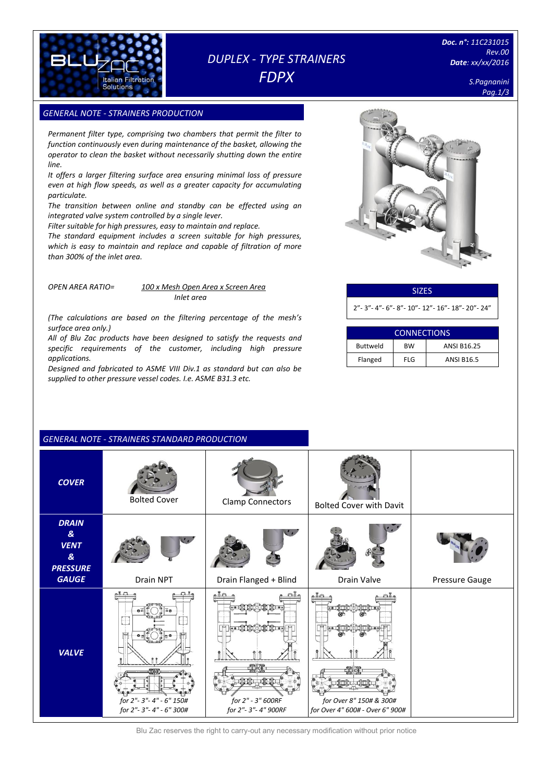

# *DUPLEX - TYPE STRAINERS FDPX*

*Doc. n°: 11C231015 Rev.00 Date: xx/xx/2016*

> *S.Pagnanini Pag.1/3*

# **GENERAL NOTE - STRAINERS PRODUCTION**

*Permanent filter type, comprising two chambers that permit the filter to function continuously even during maintenance of the basket, allowing the operator to clean the basket without necessarily shutting down the entire line.*

*It offers a larger filtering surface area ensuring minimal loss of pressure even at high flow speeds, as well as a greater capacity for accumulating particulate.* 

*The transition between online and standby can be effected using an integrated valve system controlled by a single lever.* 

*Filter suitable for high pressures, easy to maintain and replace.*

*The standard equipment includes a screen suitable for high pressures, which is easy to maintain and replace and capable of filtration of more than 300% of the inlet area.*

#### *OPEN AREA RATIO= 100 x Mesh Open Area x Screen Area Inlet area*

*(The calculations are based on the filtering percentage of the mesh's surface area only.)*

*All of Blu Zac products have been designed to satisfy the requests and specific requirements of the customer, including high pressure applications.* 

*Designed and fabricated to ASME VIII Div.1 as standard but can also be supplied to other pressure vessel codes. I.e. ASME B31.3 etc.*

*GENERAL NOTE - STRAINERS STANDARD PRODUCTION*



# SIZES 2"- 3"- 4"- 6"- 8"- 10"- 12"- 16"- 18"- 20"- 24"

| <b>CONNECTIONS</b> |            |                    |  |  |
|--------------------|------------|--------------------|--|--|
| <b>Buttweld</b>    | <b>BW</b>  | <b>ANSI B16.25</b> |  |  |
| Flanged            | <b>FLG</b> | <b>ANSI B16.5</b>  |  |  |

# *COVER* Bolted Cover Clamp Connectors Bolted Cover with Davit *DRAIN & VENT & PRESSURE*  **GAUGE** Drain NPT | Drain Flanged + Blind | Drain Valve | Pressure Gauge  $AT$ م جه م  $\cdot$  . The *VALVE* - 28 2010 100 *for 2"- 3"- 4" - 6" 150# for 2" - 3" 600RF for Over 8" 150# & 300# for 2"- 3"- 4" - 6" 300# for 2"- 3"- 4" 900RF for Over 4" 600# - Over 6" 900#*

Blu Zac reserves the right to carry-out any necessary modification without prior notice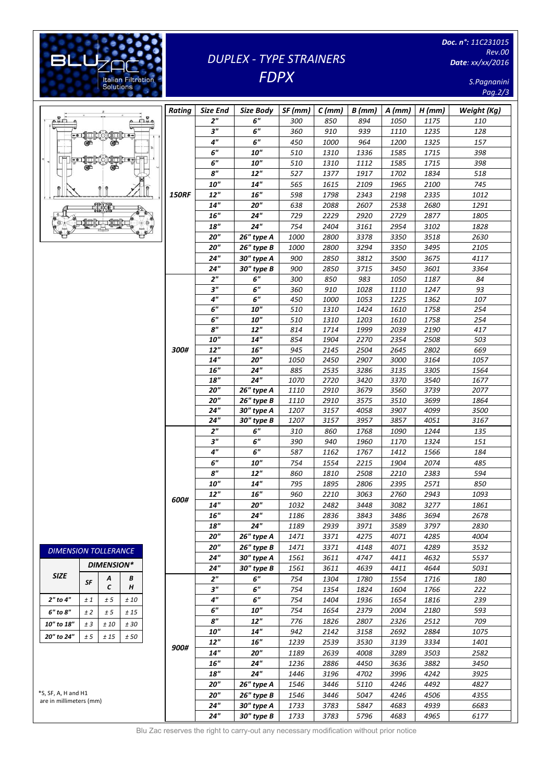#### [Digitare il testo] *Doc. n°: 11C231015 Rev.00*  **BLU** *DUPLEX - TYPE STRAINERS Date: xx/xx/2016* ŝ *FDPX* Italian Filtration<br>Solutions *S.Pagnanini Pag.2/3 Rating Size End Size Body SF (mm) C (mm) B (mm) A (mm) H (mm) Weight (Kg)* ضم  $n_{\rm A}$ *2" 6" 300 850 894 1050 1175 110 3" 6" 360 910 939 1110 1235 128* 台湾管理 *4" 6" 450 1000 964 1200 1325 157 6" 10" 510 1310 1336 1585 1715 398*  $H$ **1⊡b⊷** *6" 10" 510 1310 1112 1585 1715 398 8" 12" 527 1377 1917 1702 1834 518 10" 14" 565 1615 2109 1965 2100 745* Â  $\uparrow$  $\hat{\mathbb{I}}$ ਸੈ *150RF 12" 16" 598 1798 2343 2198 2335 1012* **13** *14" 20" 638 2088 2607 2538 2680 1291*  $\mathbb{R}^d$ *16" 24" 729 2229 2920 2729 2877 1805* 普鲁特  $\infty$ *18" 24" 754 2404 3161 2954 3102 1828 20" 26" type A 1000 2800 3378 3350 3518 2630 20" 26" type B 1000 2800 3294 3350 3495 2105 24" 30" type A 900 2850 3812 3500 3675 4117 24" 30" type B 900 2850 3715 3450 3601 3364 2" 6" 300 850 983 1050 1187 84 3" 6" 360 910 1028 1110 1247 93 4" 6" 450 1000 1053 1225 1362 107 6" 10" 510 1310 1424 1610 1758 254 6" 10" 510 1310 1203 1610 1758 254 8" 12" 814 1714 1999 2039 2190 417 10" 14" 854 1904 2270 2354 2508 503*

*300#*

| DIMENSION TOLLERANCE |                   |        |        |  |  |
|----------------------|-------------------|--------|--------|--|--|
|                      | <b>DIMENSION*</b> |        |        |  |  |
| <b>SIZE</b>          | <b>SF</b>         | Α<br>C | B<br>н |  |  |
| 2" to 4"             | ±1                | ± 5    | ±10    |  |  |
| 6" to 8"             | ±2                | ± 5    | ± 1.5  |  |  |
| 10" to 18"           | ± 3               | ±10    | ±30    |  |  |
| 20" to 24"           | ± 5               | $+15$  | ±50    |  |  |

\*S, SF, A, H and H1 are in millimeters (mm)

|                                                                                         |      | 18"                       | 24"        | 1070 | 2720 | 3420 | 3370 | 3540 | 1677 |
|-----------------------------------------------------------------------------------------|------|---------------------------|------------|------|------|------|------|------|------|
|                                                                                         |      | 20"                       | 26" type A | 1110 | 2910 | 3679 | 3560 | 3739 | 2077 |
|                                                                                         |      | 20 <sup>''</sup>          | 26" type B | 1110 | 2910 | 3575 | 3510 | 3699 | 1864 |
|                                                                                         |      | 24"                       | 30" type A | 1207 | 3157 | 4058 | 3907 | 4099 | 3500 |
|                                                                                         |      | 24"                       | 30" type B | 1207 | 3157 | 3957 | 3857 | 4051 | 3167 |
|                                                                                         |      | 2 <sup>n</sup>            | 6"         | 310  | 860  | 1768 | 1090 | 1244 | 135  |
|                                                                                         |      | 3"                        | 6"         | 390  | 940  | 1960 | 1170 | 1324 | 151  |
|                                                                                         |      | 4"                        | 6"         | 587  | 1162 | 1767 | 1412 | 1566 | 184  |
|                                                                                         |      | 6"                        | <b>10"</b> | 754  | 1554 | 2215 | 1904 | 2074 | 485  |
|                                                                                         |      | 8"                        | 12"        | 860  | 1810 | 2508 | 2210 | 2383 | 594  |
|                                                                                         |      | ${\bf 10}^{\prime\prime}$ | 14"        | 795  | 1895 | 2806 | 2395 | 2571 | 850  |
|                                                                                         | 600# | 12"                       | 16"        | 960  | 2210 | 3063 | 2760 | 2943 | 1093 |
|                                                                                         |      | $14^{\prime\prime}$       | 20"        | 1032 | 2482 | 3448 | 3082 | 3277 | 1861 |
|                                                                                         |      | 16"                       | 24"        | 1186 | 2836 | 3843 | 3486 | 3694 | 2678 |
|                                                                                         |      | 18"                       | 24"        | 1189 | 2939 | 3971 | 3589 | 3797 | 2830 |
|                                                                                         |      | 20"                       | 26" type A | 1471 | 3371 | 4275 | 4071 | 4285 | 4004 |
|                                                                                         |      | 20"                       | 26" type B | 1471 | 3371 | 4148 | 4071 | 4289 | 3532 |
|                                                                                         |      | 24"                       | 30" type A | 1561 | 3611 | 4747 | 4411 | 4632 | 5537 |
|                                                                                         |      | 24"                       | 30" type B | 1561 | 3611 | 4639 | 4411 | 4644 | 5031 |
|                                                                                         |      | 2 <sup>n</sup>            | 6"         | 754  | 1304 | 1780 | 1554 | 1716 | 180  |
|                                                                                         |      | 3"                        | 6"         | 754  | 1354 | 1824 | 1604 | 1766 | 222  |
| 0                                                                                       |      | 4"                        | 6"         | 754  | 1404 | 1936 | 1654 | 1816 | 239  |
| 5                                                                                       |      | 6"                        | <b>10"</b> | 754  | 1654 | 2379 | 2004 | 2180 | 593  |
| 0                                                                                       |      | 8"                        | 12"        | 776  | 1826 | 2807 | 2326 | 2512 | 709  |
| 0                                                                                       |      | <b>10"</b>                | 14"        | 942  | 2142 | 3158 | 2692 | 2884 | 1075 |
|                                                                                         | 900# | 12"                       | 16"        | 1239 | 2539 | 3530 | 3139 | 3334 | 1401 |
|                                                                                         |      | 14"                       | 20"        | 1189 | 2639 | 4008 | 3289 | 3503 | 2582 |
|                                                                                         |      | $16^{\prime\prime}$       | 24"        | 1236 | 2886 | 4450 | 3636 | 3882 | 3450 |
|                                                                                         |      | $\bf 18''$                | 24"        | 1446 | 3196 | 4702 | 3996 | 4242 | 3925 |
|                                                                                         |      | 20"                       | 26" type A | 1546 | 3446 | 5110 | 4246 | 4492 | 4827 |
|                                                                                         |      | 20"                       | 26" type B | 1546 | 3446 | 5047 | 4246 | 4506 | 4355 |
|                                                                                         |      | 24"                       | 30" type A | 1733 | 3783 | 5847 | 4683 | 4939 | 6683 |
|                                                                                         |      | 24"                       | 30" type B | 1733 | 3783 | 5796 | 4683 | 4965 | 6177 |
| Blu Zac reserves the right to carry-out any necessary modification without prior notice |      |                           |            |      |      |      |      |      |      |

*12" 16" 945 2145 2504 2645 2802 669 14" 20" 1050 2450 2907 3000 3164 1057 16" 24" 885 2535 3286 3135 3305 1564*

Blu Zac reserves the right to carry-out any necessary modification without prior notice